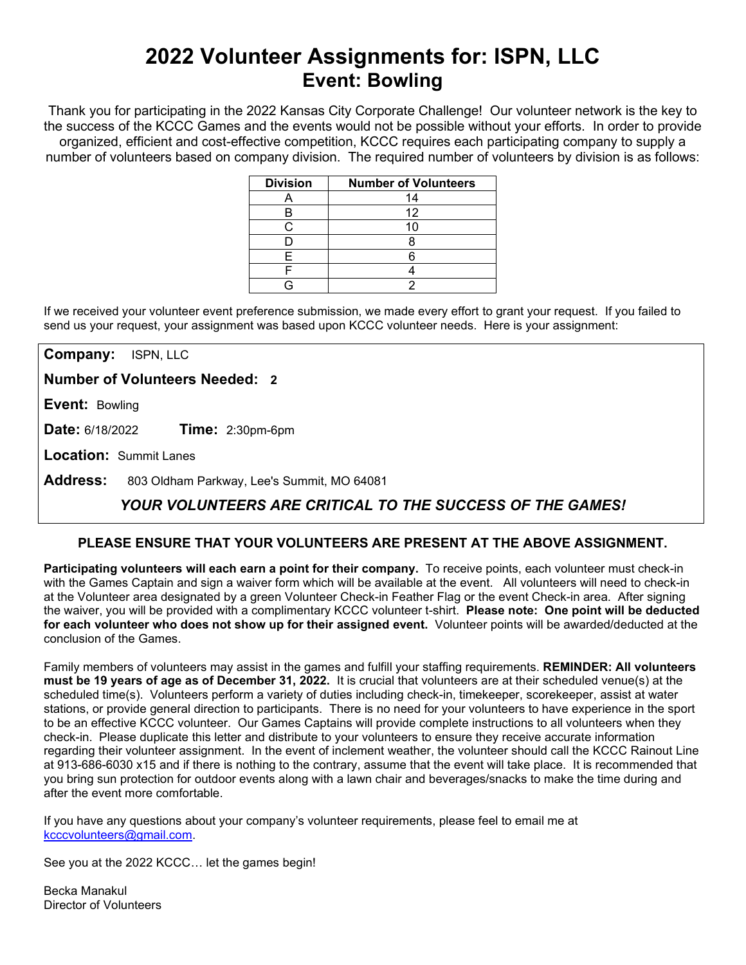# **2022 Volunteer Assignments for: ISPN, LLC Event: Bowling**

Thank you for participating in the 2022 Kansas City Corporate Challenge! Our volunteer network is the key to the success of the KCCC Games and the events would not be possible without your efforts.In order to provide organized, efficient and cost-effective competition, KCCC requires each participating company to supply a number of volunteers based on company division. The required number of volunteers by division is as follows:

| <b>Division</b> | <b>Number of Volunteers</b> |
|-----------------|-----------------------------|
|                 | 14                          |
| В               | 12                          |
|                 |                             |
|                 |                             |
| F               |                             |
|                 |                             |
|                 |                             |

If we received your volunteer event preference submission, we made every effort to grant your request. If you failed to send us your request, your assignment was based upon KCCC volunteer needs. Here is your assignment:

**Company:** ISPN, LLC

**Number of Volunteers Needed: 2**

**Event:** Bowling

**Date:** 6/18/2022 **Time:** 2:30pm-6pm

**Location:** Summit Lanes

**Address:** 803 Oldham Parkway, Lee's Summit, MO 64081

## *YOUR VOLUNTEERS ARE CRITICAL TO THE SUCCESS OF THE GAMES!*

### **PLEASE ENSURE THAT YOUR VOLUNTEERS ARE PRESENT AT THE ABOVE ASSIGNMENT.**

**Participating volunteers will each earn a point for their company.** To receive points, each volunteer must check-in with the Games Captain and sign a waiver form which will be available at the event. All volunteers will need to check-in at the Volunteer area designated by a green Volunteer Check-in Feather Flag or the event Check-in area. After signing the waiver, you will be provided with a complimentary KCCC volunteer t-shirt. **Please note: One point will be deducted for each volunteer who does not show up for their assigned event.** Volunteer points will be awarded/deducted at the conclusion of the Games.

Family members of volunteers may assist in the games and fulfill your staffing requirements. **REMINDER: All volunteers must be 19 years of age as of December 31, 2022.** It is crucial that volunteers are at their scheduled venue(s) at the scheduled time(s). Volunteers perform a variety of duties including check-in, timekeeper, scorekeeper, assist at water stations, or provide general direction to participants. There is no need for your volunteers to have experience in the sport to be an effective KCCC volunteer. Our Games Captains will provide complete instructions to all volunteers when they check-in. Please duplicate this letter and distribute to your volunteers to ensure they receive accurate information regarding their volunteer assignment. In the event of inclement weather, the volunteer should call the KCCC Rainout Line at 913-686-6030 x15 and if there is nothing to the contrary, assume that the event will take place. It is recommended that you bring sun protection for outdoor events along with a lawn chair and beverages/snacks to make the time during and after the event more comfortable.

If you have any questions about your company's volunteer requirements, please feel to email me at [kcccvolunteers@gmail.com.](mailto:kcccvolunteers@gmail.com)

See you at the 2022 KCCC… let the games begin!

Becka Manakul Director of Volunteers